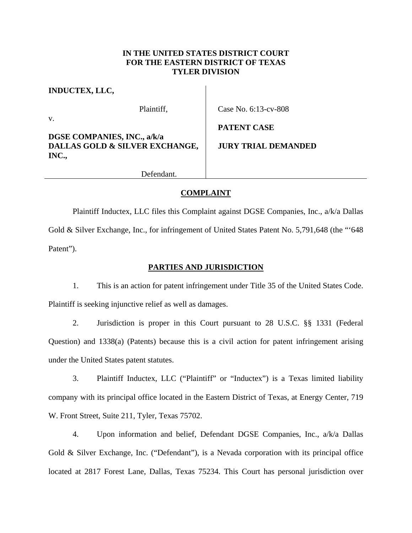## **IN THE UNITED STATES DISTRICT COURT FOR THE EASTERN DISTRICT OF TEXAS TYLER DIVISION**

**INDUCTEX, LLC,** 

v.

Plaintiff,

Case No. 6:13-cv-808

**PATENT CASE** 

**DGSE COMPANIES, INC., a/k/a DALLAS GOLD & SILVER EXCHANGE, INC.,** 

**JURY TRIAL DEMANDED**

Defendant.

# **COMPLAINT**

 Plaintiff Inductex, LLC files this Complaint against DGSE Companies, Inc., a/k/a Dallas Gold & Silver Exchange, Inc., for infringement of United States Patent No. 5,791,648 (the "'648 Patent").

# **PARTIES AND JURISDICTION**

1. This is an action for patent infringement under Title 35 of the United States Code. Plaintiff is seeking injunctive relief as well as damages.

2. Jurisdiction is proper in this Court pursuant to 28 U.S.C. §§ 1331 (Federal Question) and 1338(a) (Patents) because this is a civil action for patent infringement arising under the United States patent statutes.

3. Plaintiff Inductex, LLC ("Plaintiff" or "Inductex") is a Texas limited liability company with its principal office located in the Eastern District of Texas, at Energy Center, 719 W. Front Street, Suite 211, Tyler, Texas 75702.

4. Upon information and belief, Defendant DGSE Companies, Inc., a/k/a Dallas Gold & Silver Exchange, Inc. ("Defendant"), is a Nevada corporation with its principal office located at 2817 Forest Lane, Dallas, Texas 75234. This Court has personal jurisdiction over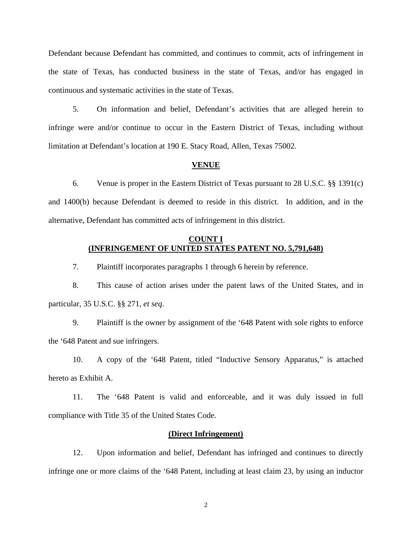Defendant because Defendant has committed, and continues to commit, acts of infringement in the state of Texas, has conducted business in the state of Texas, and/or has engaged in continuous and systematic activities in the state of Texas.

5. On information and belief, Defendant's activities that are alleged herein to infringe were and/or continue to occur in the Eastern District of Texas, including without limitation at Defendant's location at 190 E. Stacy Road, Allen, Texas 75002.

#### **VENUE**

6. Venue is proper in the Eastern District of Texas pursuant to 28 U.S.C. §§ 1391(c) and 1400(b) because Defendant is deemed to reside in this district. In addition, and in the alternative, Defendant has committed acts of infringement in this district.

## **COUNT I (INFRINGEMENT OF UNITED STATES PATENT NO. 5,791,648)**

7. Plaintiff incorporates paragraphs 1 through 6 herein by reference.

8. This cause of action arises under the patent laws of the United States, and in particular, 35 U.S.C. §§ 271, *et seq*.

9. Plaintiff is the owner by assignment of the '648 Patent with sole rights to enforce the '648 Patent and sue infringers.

10. A copy of the '648 Patent, titled "Inductive Sensory Apparatus," is attached hereto as Exhibit A.

11. The '648 Patent is valid and enforceable, and it was duly issued in full compliance with Title 35 of the United States Code.

#### **(Direct Infringement)**

12. Upon information and belief, Defendant has infringed and continues to directly infringe one or more claims of the '648 Patent, including at least claim 23, by using an inductor

2